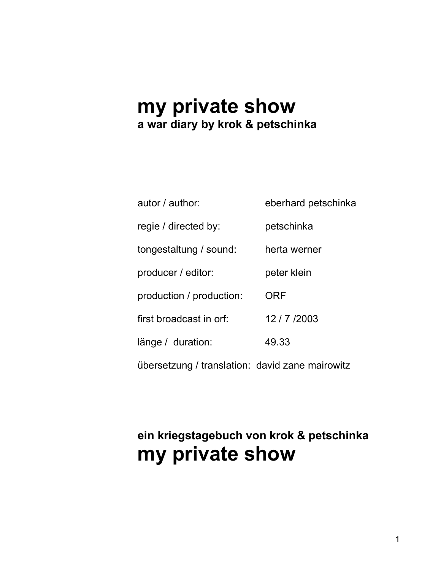# **my private show a war diary by krok & petschinka**

| autor / author:                                 | eberhard petschinka |
|-------------------------------------------------|---------------------|
| regie / directed by:                            | petschinka          |
| tongestaltung / sound:                          | herta werner        |
| producer / editor:                              | peter klein         |
| production / production:                        | <b>ORF</b>          |
| first broadcast in orf:                         | 12/7/2003           |
| länge / duration:                               | 49.33               |
| übersetzung / translation: david zane mairowitz |                     |

# **ein kriegstagebuch von krok & petschinka my private show**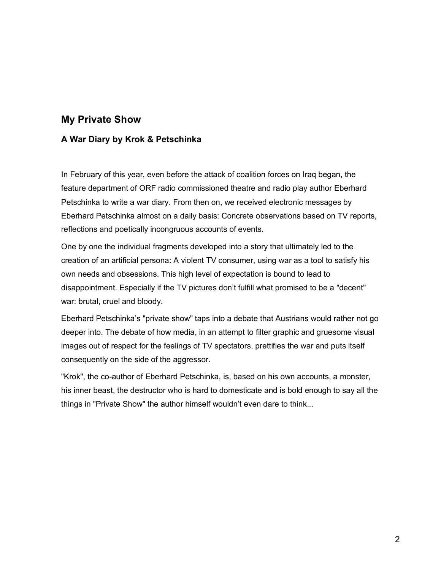# **My Private Show**

## **A War Diary by Krok & Petschinka**

In February of this year, even before the attack of coalition forces on Iraq began, the feature department of ORF radio commissioned theatre and radio play author Eberhard Petschinka to write a war diary. From then on, we received electronic messages by Eberhard Petschinka almost on a daily basis: Concrete observations based on TV reports, reflections and poetically incongruous accounts of events.

One by one the individual fragments developed into a story that ultimately led to the creation of an artificial persona: A violent TV consumer, using war as a tool to satisfy his own needs and obsessions. This high level of expectation is bound to lead to disappointment. Especially if the TV pictures don't fulfill what promised to be a "decent" war: brutal, cruel and bloody.

Eberhard Petschinka's "private show" taps into a debate that Austrians would rather not go deeper into. The debate of how media, in an attempt to filter graphic and gruesome visual images out of respect for the feelings of TV spectators, prettifies the war and puts itself consequently on the side of the aggressor.

"Krok", the co-author of Eberhard Petschinka, is, based on his own accounts, a monster, his inner beast, the destructor who is hard to domesticate and is bold enough to say all the things in "Private Show" the author himself wouldn't even dare to think...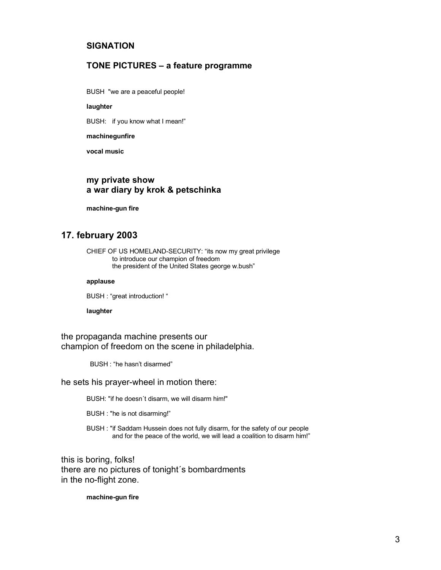### **SIGNATION**

### **TONE PICTURES – a feature programme**

BUSH "we are a peaceful people!

#### **laughter**

BUSH: if you know what I mean!"

#### **machinegunfire**

**vocal music**

### **my private show a war diary by krok & petschinka**

**machine-gun fire**

# **17. february 2003**

CHIEF OF US HOMELAND-SECURITY: "its now my great privilege to introduce our champion of freedom the president of the United States george w.bush"

#### **applause**

BUSH : "great introduction! "

#### **laughter**

the propaganda machine presents our champion of freedom on the scene in philadelphia.

BUSH : "he hasn't disarmed"

he sets his prayer-wheel in motion there:

BUSH: "if he doesn´t disarm, we will disarm him!"

BUSH : "he is not disarming!"

BUSH : "if Saddam Hussein does not fully disarm, for the safety of our people and for the peace of the world, we will lead a coalition to disarm him!"

this is boring, folks! there are no pictures of tonight´s bombardments in the no-flight zone.

**machine-gun fire**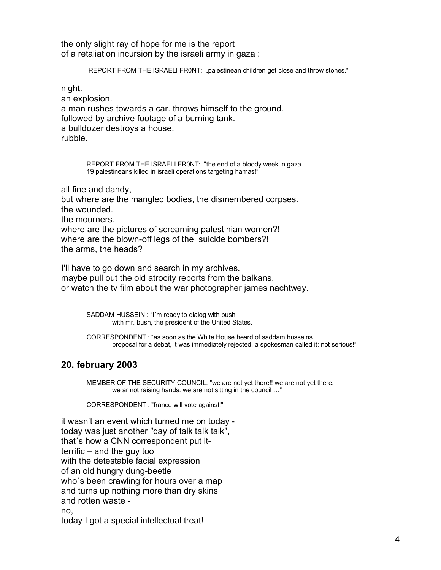the only slight ray of hope for me is the report of a retaliation incursion by the israeli army in gaza :

REPORT FROM THE ISRAELI FR0NT: "palestinean children get close and throw stones."

night.

an explosion. a man rushes towards a car. throws himself to the ground. followed by archive footage of a burning tank. a bulldozer destroys a house. rubble.

> REPORT FROM THE ISRAELI FR0NT: "the end of a bloody week in gaza. 19 palestineans killed in israeli operations targeting hamas!"

all fine and dandy, but where are the mangled bodies, the dismembered corpses. the wounded. the mourners. where are the pictures of screaming palestinian women?! where are the blown-off legs of the suicide bombers?! the arms, the heads?

I'll have to go down and search in my archives. maybe pull out the old atrocity reports from the balkans. or watch the tv film about the war photographer james nachtwey.

> SADDAM HUSSEIN : "I´m ready to dialog with bush with mr. bush, the president of the United States.

CORRESPONDENT : "as soon as the White House heard of saddam husseins proposal for a debat, it was immediately rejected. a spokesman called it: not serious!"

# **20. february 2003**

MEMBER OF THE SECURITY COUNCIL: "we are not yet there!! we are not yet there. we ar not raising hands. we are not sitting in the council …"

CORRESPONDENT : "france will vote against!"

it wasn't an event which turned me on today today was just another "day of talk talk talk", that´s how a CNN correspondent put itterrific – and the guy too with the detestable facial expression of an old hungry dung-beetle who´s been crawling for hours over a map and turns up nothing more than dry skins and rotten waste no, today I got a special intellectual treat!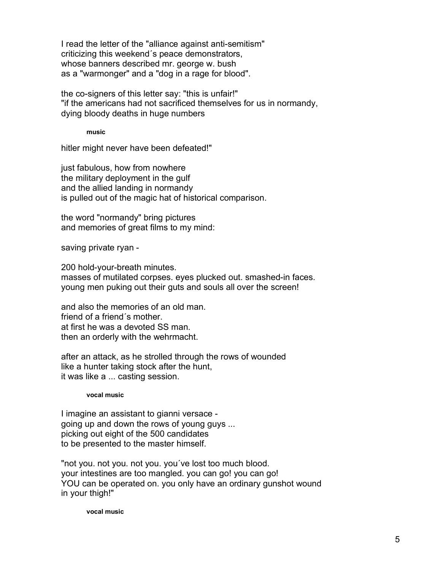I read the letter of the "alliance against anti-semitism" criticizing this weekend´s peace demonstrators, whose banners described mr. george w. bush as a "warmonger" and a "dog in a rage for blood".

the co-signers of this letter say: "this is unfair!" "if the americans had not sacrificed themselves for us in normandy, dying bloody deaths in huge numbers

**music**

hitler might never have been defeated!"

just fabulous, how from nowhere the military deployment in the gulf and the allied landing in normandy is pulled out of the magic hat of historical comparison.

the word "normandy" bring pictures and memories of great films to my mind:

saving private ryan -

200 hold-your-breath minutes. masses of mutilated corpses. eyes plucked out. smashed-in faces. young men puking out their guts and souls all over the screen!

and also the memories of an old man. friend of a friend´s mother. at first he was a devoted SS man. then an orderly with the wehrmacht.

after an attack, as he strolled through the rows of wounded like a hunter taking stock after the hunt, it was like a ... casting session.

### **vocal music**

I imagine an assistant to gianni versace going up and down the rows of young guys ... picking out eight of the 500 candidates to be presented to the master himself.

"not you. not you. not you. you´ve lost too much blood. your intestines are too mangled. you can go! you can go! YOU can be operated on. you only have an ordinary gunshot wound in your thigh!"

**vocal music**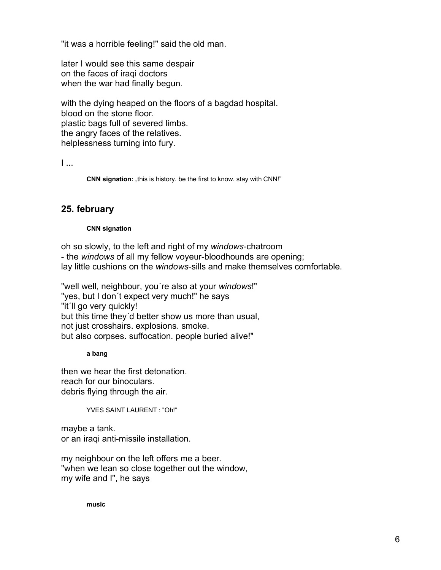"it was a horrible feeling!" said the old man.

later I would see this same despair on the faces of iraqi doctors when the war had finally begun.

with the dying heaped on the floors of a bagdad hospital. blood on the stone floor. plastic bags full of severed limbs. the angry faces of the relatives. helplessness turning into fury.

I ...

**CNN signation:** "this is history. be the first to know. stay with CNN!"

# **25. february**

### **CNN signation**

oh so slowly, to the left and right of my *windows*-chatroom - the *windows* of all my fellow voyeur-bloodhounds are opening; lay little cushions on the *windows*-sills and make themselves comfortable.

"well well, neighbour, you´re also at your *windows*!" "yes, but I don't expect very much!" he says "it´ll go very quickly! but this time they´d better show us more than usual, not just crosshairs. explosions. smoke. but also corpses. suffocation. people buried alive!"

### **a bang**

then we hear the first detonation. reach for our binoculars. debris flying through the air.

YVES SAINT LAURENT : "Oh!"

maybe a tank. or an iraqi anti-missile installation.

my neighbour on the left offers me a beer. "when we lean so close together out the window, my wife and I", he says

**music**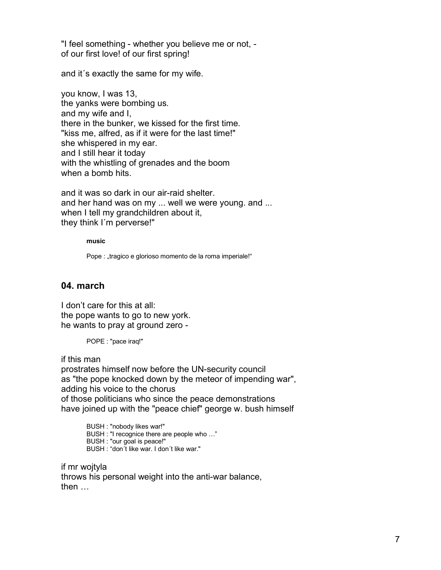"I feel something - whether you believe me or not, of our first love! of our first spring!

and it´s exactly the same for my wife.

you know, I was 13, the yanks were bombing us. and my wife and I, there in the bunker, we kissed for the first time. "kiss me, alfred, as if it were for the last time!" she whispered in my ear. and I still hear it today with the whistling of grenades and the boom when a bomb hits.

and it was so dark in our air-raid shelter. and her hand was on my ... well we were young. and ... when I tell my grandchildren about it, they think I´m perverse!"

**music**

Pope : "tragico e glorioso momento de la roma imperiale!"

## **04. march**

I don't care for this at all: the pope wants to go to new york. he wants to pray at ground zero -

POPE : "pace iraq!"

if this man

prostrates himself now before the UN-security council as "the pope knocked down by the meteor of impending war", adding his voice to the chorus of those politicians who since the peace demonstrations have joined up with the "peace chief" george w. bush himself

> BUSH : "nobody likes war!" BUSH : "I recognice there are people who …" BUSH : "our goal is peace!" BUSH : "don´t like war. I don´t like war."

if mr wojtyla throws his personal weight into the anti-war balance, then …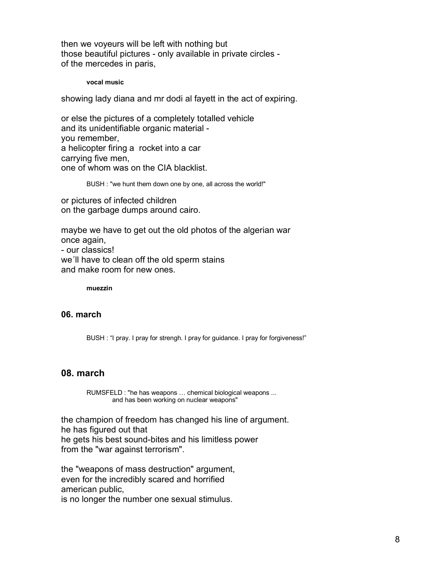then we voyeurs will be left with nothing but those beautiful pictures - only available in private circles of the mercedes in paris,

**vocal music**

showing lady diana and mr dodi al fayett in the act of expiring.

or else the pictures of a completely totalled vehicle and its unidentifiable organic material you remember, a helicopter firing a rocket into a car carrying five men, one of whom was on the CIA blacklist.

BUSH : "we hunt them down one by one, all across the world!"

or pictures of infected children on the garbage dumps around cairo.

maybe we have to get out the old photos of the algerian war once again, - our classics! we´ll have to clean off the old sperm stains and make room for new ones.

**muezzin**

### **06. march**

BUSH : "I pray. I pray for strengh. I pray for guidance. I pray for forgiveness!"

### **08. march**

RUMSFELD : "he has weapons … chemical biological weapons ... and has been working on nuclear weapons"

the champion of freedom has changed his line of argument. he has figured out that he gets his best sound-bites and his limitless power from the "war against terrorism".

the "weapons of mass destruction" argument, even for the incredibly scared and horrified american public,

is no longer the number one sexual stimulus.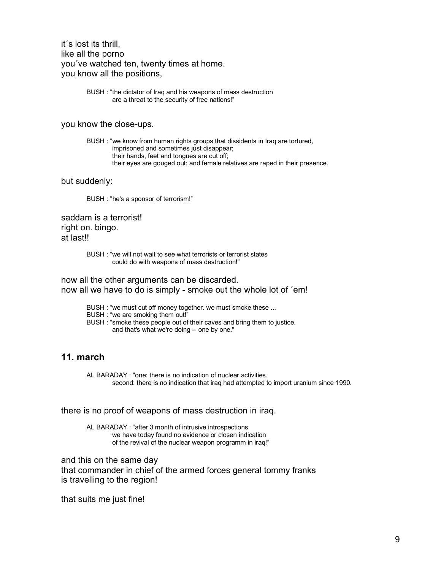it´s lost its thrill, like all the porno you´ve watched ten, twenty times at home. you know all the positions,

> BUSH : "the dictator of Iraq and his weapons of mass destruction are a threat to the security of free nations!"

you know the close-ups.

BUSH : "we know from human rights groups that dissidents in Iraq are tortured, imprisoned and sometimes just disappear; their hands, feet and tongues are cut off; their eyes are gouged out; and female relatives are raped in their presence.

but suddenly:

BUSH : "he's a sponsor of terrorism!"

saddam is a terrorist! right on. bingo. at last!!

> BUSH : "we will not wait to see what terrorists or terrorist states could do with weapons of mass destruction!"

now all the other arguments can be discarded. now all we have to do is simply - smoke out the whole lot of ´em!

BUSH : "we must cut off money together. we must smoke these ...

BUSH : "we are smoking them out!"

BUSH : "smoke these people out of their caves and bring them to justice. and that's what we're doing -- one by one."

# **11. march**

AL BARADAY : "one: there is no indication of nuclear activities. second: there is no indication that iraq had attempted to import uranium since 1990.

there is no proof of weapons of mass destruction in iraq.

AL BARADAY : "after 3 month of intrusive introspections we have today found no evidence or closen indication of the revival of the nuclear weapon programm in iraq!"

and this on the same day that commander in chief of the armed forces general tommy franks is travelling to the region!

that suits me just fine!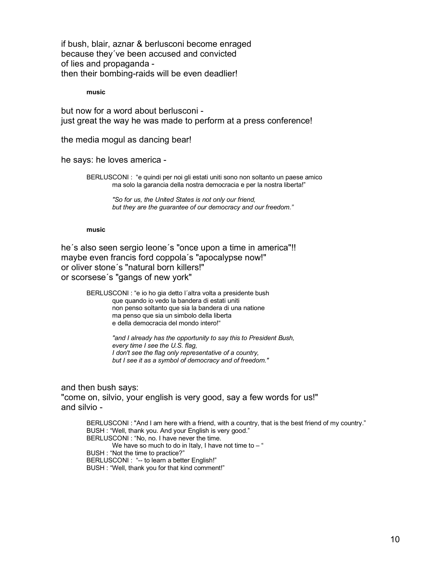if bush, blair, aznar & berlusconi become enraged because they´ve been accused and convicted of lies and propaganda then their bombing-raids will be even deadlier!

**music**

but now for a word about berlusconi just great the way he was made to perform at a press conference!

the media mogul as dancing bear!

he says: he loves america -

BERLUSCONI : "e quindi per noi gli estati uniti sono non soltanto un paese amico ma solo la garancia della nostra democracia e per la nostra liberta!"

> *"So for us, the United States is not only our friend, but they are the guarantee of our democracy and our freedom."*

#### **music**

he´s also seen sergio leone´s "once upon a time in america"!! maybe even francis ford coppola´s "apocalypse now!" or oliver stone´s "natural born killers!" or scorsese´s "gangs of new york"

> BERLUSCONI : "e io ho gia detto l´altra volta a presidente bush que quando io vedo la bandera di estati uniti non penso soltanto que sia la bandera di una natione ma penso que sia un simbolo della liberta e della democracia del mondo intero!"

> > *"and I already has the opportunity to say this to President Bush, every time I see the U.S. flag, I don't see the flag only representative of a country, but I see it as a symbol of democracy and of freedom."*

### and then bush says:

"come on, silvio, your english is very good, say a few words for us!" and silvio -

BERLUSCONI : "And I am here with a friend, with a country, that is the best friend of my country." BUSH : "Well, thank you. And your English is very good." BERLUSCONI : "No, no. I have never the time. We have so much to do in Italy, I have not time to  $-$  " BUSH : "Not the time to practice?" BERLUSCONI : "-- to learn a better English!" BUSH : "Well, thank you for that kind comment!"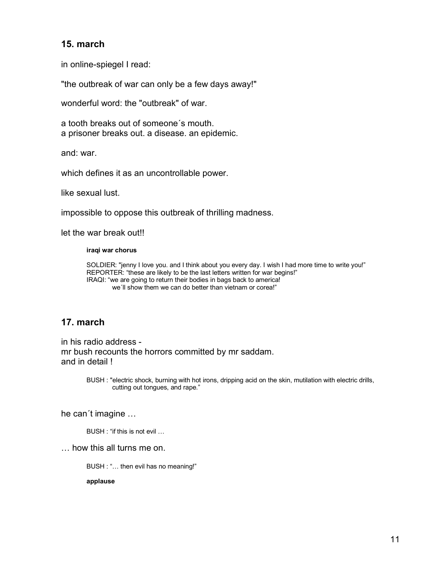# **15. march**

in online-spiegel I read:

"the outbreak of war can only be a few days away!"

wonderful word: the "outbreak" of war.

a tooth breaks out of someone´s mouth. a prisoner breaks out. a disease. an epidemic.

and: war.

which defines it as an uncontrollable power.

like sexual lust.

impossible to oppose this outbreak of thrilling madness.

let the war break out!!

#### **iraqi war chorus**

SOLDIER: "jenny I love you. and I think about you every day. I wish I had more time to write you!" REPORTER: "these are likely to be the last letters written for war begins!" IRAQI: "we are going to return their bodies in bags back to america! we'll show them we can do better than vietnam or corea!"

# **17. march**

in his radio address mr bush recounts the horrors committed by mr saddam. and in detail !

> BUSH : "electric shock, burning with hot irons, dripping acid on the skin, mutilation with electric drills, cutting out tongues, and rape."

he can´t imagine …

BUSH : "if this is not evil …

… how this all turns me on.

BUSH : "… then evil has no meaning!"

**applause**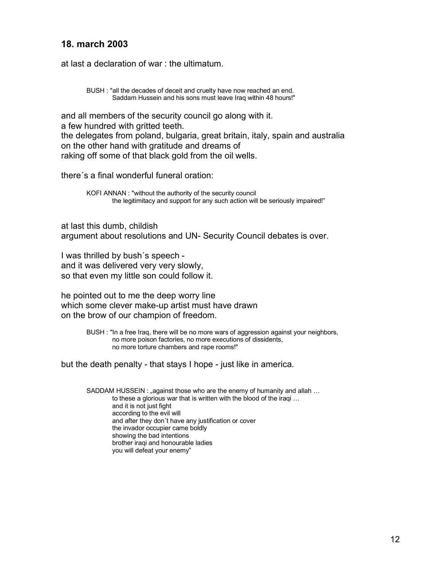# **18. march 2003**

at last a declaration of war : the ultimatum.

BUSH : "all the decades of deceit and cruelty have now reached an end. Saddam Hussein and his sons must leave Iraq within 48 hours!"

and all members of the security council go along with it. a few hundred with gritted teeth. the delegates from poland, bulgaria, great britain, italy, spain and australia on the other hand with gratitude and dreams of raking off some of that black gold from the oil wells.

there´s a final wonderful funeral oration:

KOFI ANNAN : "without the authority of the security council the legitimitacy and support for any such action will be seriously impaired!"

at last this dumb, childish argument about resolutions and UN- Security Council debates is over.

I was thrilled by bush´s speech and it was delivered very very slowly, so that even my little son could follow it.

he pointed out to me the deep worry line which some clever make-up artist must have drawn on the brow of our champion of freedom.

> BUSH : "In a free Iraq, there will be no more wars of aggression against your neighbors, no more poison factories, no more executions of dissidents, no more torture chambers and rape rooms!"

but the death penalty - that stays I hope - just like in america.

SADDAM HUSSEIN : "against those who are the enemy of humanity and allah ... to these a glorious war that is written with the blood of the iraqi … and it is not just fight according to the evil will and after they don´t have any justification or cover the invador occupier came boldly showing the bad intentions brother iraqi and honourable ladies you will defeat your enemy"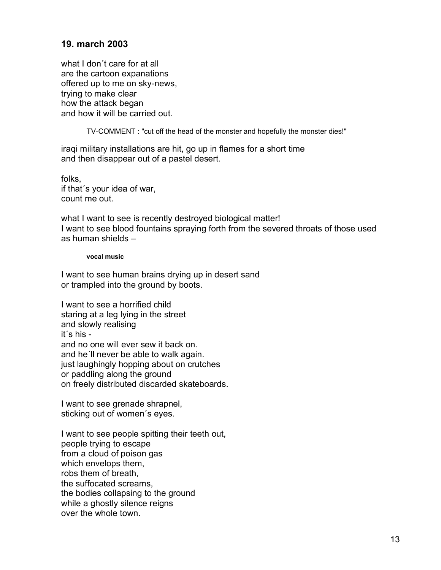# **19. march 2003**

what I don´t care for at all are the cartoon expanations offered up to me on sky-news, trying to make clear how the attack began and how it will be carried out.

TV-COMMENT : "cut off the head of the monster and hopefully the monster dies!"

iraqi military installations are hit, go up in flames for a short time and then disappear out of a pastel desert.

folks, if that´s your idea of war, count me out.

what I want to see is recently destroyed biological matter! I want to see blood fountains spraying forth from the severed throats of those used as human shields –

### **vocal music**

I want to see human brains drying up in desert sand or trampled into the ground by boots.

I want to see a horrified child staring at a leg lying in the street and slowly realising it´s his and no one will ever sew it back on. and he´ll never be able to walk again. just laughingly hopping about on crutches or paddling along the ground on freely distributed discarded skateboards.

I want to see grenade shrapnel, sticking out of women´s eyes.

I want to see people spitting their teeth out, people trying to escape from a cloud of poison gas which envelops them, robs them of breath, the suffocated screams, the bodies collapsing to the ground while a ghostly silence reigns over the whole town.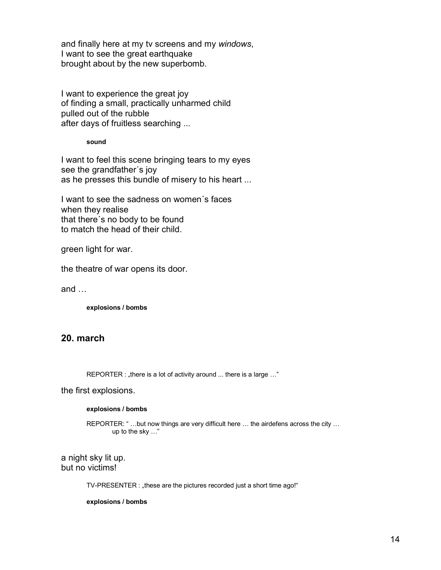and finally here at my tv screens and my *windows*, I want to see the great earthquake brought about by the new superbomb.

I want to experience the great joy of finding a small, practically unharmed child pulled out of the rubble after days of fruitless searching ...

**sound**

I want to feel this scene bringing tears to my eyes see the grandfather´s joy as he presses this bundle of misery to his heart ...

I want to see the sadness on women´s faces when they realise that there´s no body to be found to match the head of their child.

green light for war.

the theatre of war opens its door.

and …

**explosions / bombs**

# **20. march**

REPORTER : "there is a lot of activity around ... there is a large ..."

the first explosions.

#### **explosions / bombs**

REPORTER: " ...but now things are very difficult here ... the airdefens across the city ... up to the sky …"

a night sky lit up. but no victims!

TV-PRESENTER : "these are the pictures recorded just a short time ago!"

**explosions / bombs**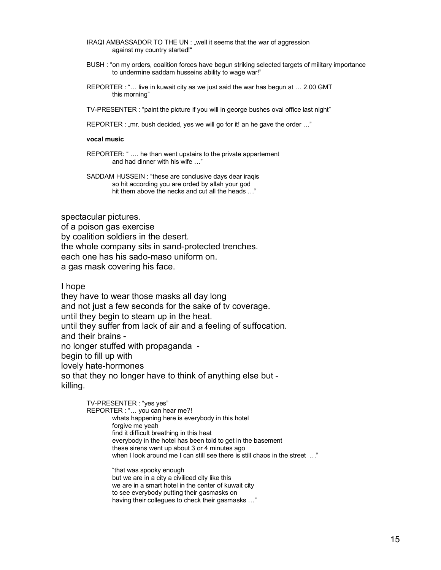IRAQI AMBASSADOR TO THE UN : "well it seems that the war of aggression against my country started!"

- BUSH : "on my orders, coalition forces have begun striking selected targets of military importance to undermine saddam husseins ability to wage war!"
- REPORTER : "… live in kuwait city as we just said the war has begun at … 2.00 GMT this morning"

TV-PRESENTER : "paint the picture if you will in george bushes oval office last night"

REPORTER : "mr. bush decided, yes we will go for it! an he gave the order ..."

#### **vocal music**

REPORTER: " .... he than went upstairs to the private appartement and had dinner with his wife …"

SADDAM HUSSEIN : "these are conclusive days dear iraqis so hit according you are orded by allah your god hit them above the necks and cut all the heads …"

spectacular pictures.

of a poison gas exercise by coalition soldiers in the desert. the whole company sits in sand-protected trenches. each one has his sado-maso uniform on. a gas mask covering his face.

I hope

they have to wear those masks all day long and not just a few seconds for the sake of tv coverage. until they begin to steam up in the heat. until they suffer from lack of air and a feeling of suffocation. and their brains no longer stuffed with propaganda begin to fill up with lovely hate-hormones so that they no longer have to think of anything else but killing.

> TV-PRESENTER : "yes yes" REPORTER : "… you can hear me?! whats happening here is everybody in this hotel forgive me yeah find it difficult breathing in this heat everybody in the hotel has been told to get in the basement these sirens went up about 3 or 4 minutes ago when I look around me I can still see there is still chaos in the street ..." "that was spooky enough

but we are in a city a civiliced city like this we are in a smart hotel in the center of kuwait city to see everybody putting their gasmasks on having their collegues to check their gasmasks …"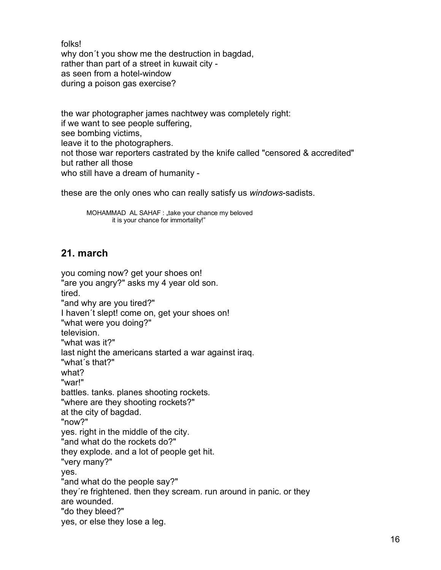folks!

why don´t you show me the destruction in bagdad, rather than part of a street in kuwait city as seen from a hotel-window during a poison gas exercise?

the war photographer james nachtwey was completely right: if we want to see people suffering, see bombing victims, leave it to the photographers. not those war reporters castrated by the knife called "censored & accredited" but rather all those who still have a dream of humanity -

these are the only ones who can really satisfy us *windows*-sadists.

MOHAMMAD AL SAHAF : "take your chance my beloved it is your chance for immortality!"

# **21. march**

```
you coming now? get your shoes on! 
"are you angry?" asks my 4 year old son.
tired.
"and why are you tired?"
I haven't slept! come on, get your shoes on!
"what were you doing?" 
television.
"what was it?"
last night the americans started a war against iraq. 
"what´s that?"
what?
"war!"
battles. tanks. planes shooting rockets.
"where are they shooting rockets?"
at the city of bagdad.
"now?"
yes. right in the middle of the city.
"and what do the rockets do?"
they explode. and a lot of people get hit.
"very many?"
yes.
"and what do the people say?"
they´re frightened. then they scream. run around in panic. or they
are wounded.
"do they bleed?"
yes, or else they lose a leg.
```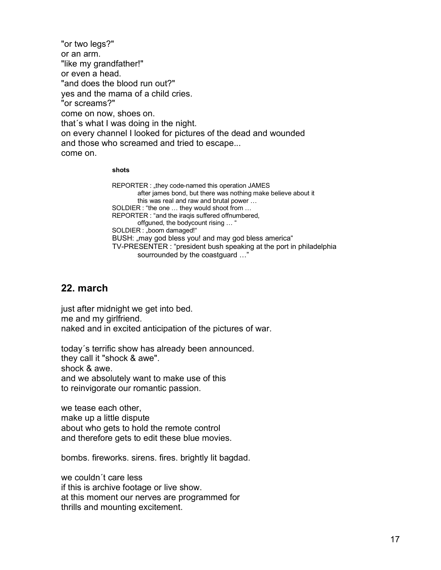"or two legs?" or an arm. "like my grandfather!" or even a head. "and does the blood run out?" yes and the mama of a child cries. "or screams?" come on now, shoes on. that´s what I was doing in the night. on every channel I looked for pictures of the dead and wounded and those who screamed and tried to escape... come on.

#### **shots**

REPORTER : "they code-named this operation JAMES after james bond, but there was nothing make believe about it this was real and raw and brutal power … SOLDIER : "the one … they would shoot from … REPORTER : "and the iraqis suffered offnumbered, offguned, the bodycount rising … " SOLDIER : "boom damaged!" BUSH: "may god bless you! and may god bless america" TV-PRESENTER : "president bush speaking at the port in philadelphia sourrounded by the coastguard …"

# **22. march**

just after midnight we get into bed. me and my girlfriend. naked and in excited anticipation of the pictures of war.

today´s terrific show has already been announced. they call it "shock & awe". shock & awe. and we absolutely want to make use of this to reinvigorate our romantic passion.

we tease each other, make up a little dispute about who gets to hold the remote control and therefore gets to edit these blue movies.

bombs. fireworks. sirens. fires. brightly lit bagdad.

we couldn´t care less if this is archive footage or live show. at this moment our nerves are programmed for thrills and mounting excitement.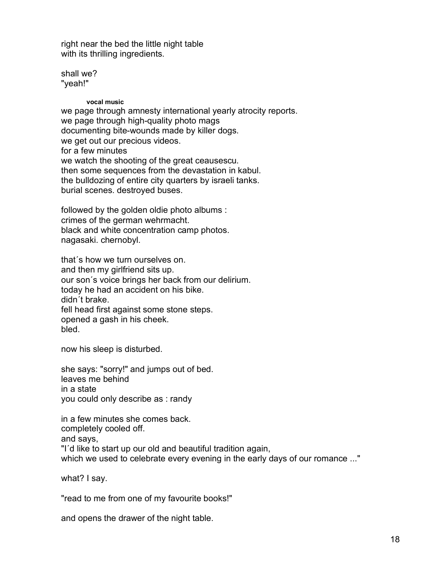right near the bed the little night table with its thrilling ingredients.

shall we? "yeah!"

### **vocal music**

we page through amnesty international yearly atrocity reports. we page through high-quality photo mags documenting bite-wounds made by killer dogs. we get out our precious videos. for a few minutes we watch the shooting of the great ceausescu. then some sequences from the devastation in kabul. the bulldozing of entire city quarters by israeli tanks. burial scenes. destroyed buses.

followed by the golden oldie photo albums : crimes of the german wehrmacht. black and white concentration camp photos. nagasaki. chernobyl.

that´s how we turn ourselves on. and then my girlfriend sits up. our son´s voice brings her back from our delirium. today he had an accident on his bike. didn´t brake. fell head first against some stone steps. opened a gash in his cheek. bled.

now his sleep is disturbed.

she says: "sorry!" and jumps out of bed. leaves me behind in a state you could only describe as : randy

in a few minutes she comes back. completely cooled off. and says, "I´d like to start up our old and beautiful tradition again, which we used to celebrate every evening in the early days of our romance ..."

what? I say.

"read to me from one of my favourite books!"

and opens the drawer of the night table.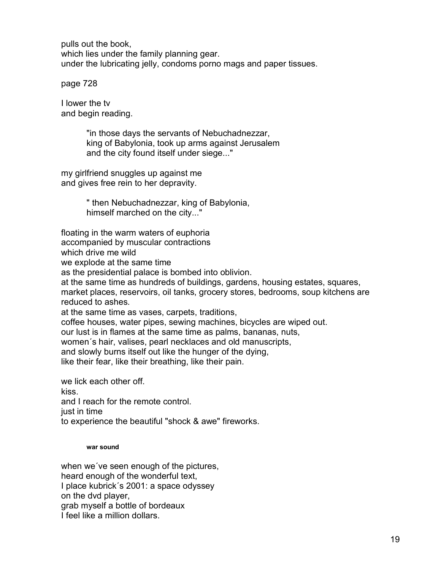pulls out the book, which lies under the family planning gear. under the lubricating jelly, condoms porno mags and paper tissues.

page 728

I lower the tv and begin reading.

> "in those days the servants of Nebuchadnezzar, king of Babylonia, took up arms against Jerusalem and the city found itself under siege..."

my girlfriend snuggles up against me and gives free rein to her depravity.

> " then Nebuchadnezzar, king of Babylonia, himself marched on the city..."

floating in the warm waters of euphoria

accompanied by muscular contractions

which drive me wild

we explode at the same time

as the presidential palace is bombed into oblivion.

at the same time as hundreds of buildings, gardens, housing estates, squares, market places, reservoirs, oil tanks, grocery stores, bedrooms, soup kitchens are reduced to ashes.

at the same time as vases, carpets, traditions,

coffee houses, water pipes, sewing machines, bicycles are wiped out.

our lust is in flames at the same time as palms, bananas, nuts,

women´s hair, valises, pearl necklaces and old manuscripts,

and slowly burns itself out like the hunger of the dying,

like their fear, like their breathing, like their pain.

we lick each other off.

kiss.

and I reach for the remote control.

just in time

to experience the beautiful "shock & awe" fireworks.

### **war sound**

when we´ve seen enough of the pictures, heard enough of the wonderful text, I place kubrick´s 2001: a space odyssey on the dvd player, grab myself a bottle of bordeaux I feel like a million dollars.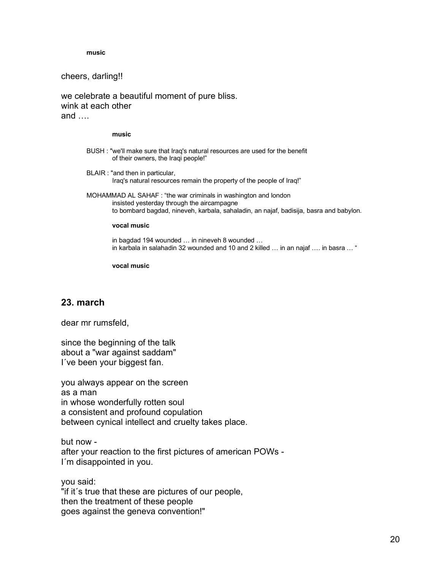**music**

cheers, darling!!

we celebrate a beautiful moment of pure bliss. wink at each other and ….

#### **music**

- BUSH : "we'll make sure that Iraq's natural resources are used for the benefit of their owners, the Iraqi people!"
- BLAIR : "and then in particular, Iraq's natural resources remain the property of the people of Iraq!"
- MOHAMMAD AL SAHAF : "the war criminals in washington and london insisted yesterday through the aircampagne to bombard bagdad, nineveh, karbala, sahaladin, an najaf, badisija, basra and babylon.

#### **vocal music**

in bagdad 194 wounded … in nineveh 8 wounded … in karbala in salahadin 32 wounded and 10 and 2 killed … in an najaf …. in basra … "

**vocal music**

# **23. march**

dear mr rumsfeld,

since the beginning of the talk about a "war against saddam" I´ve been your biggest fan.

you always appear on the screen as a man in whose wonderfully rotten soul a consistent and profound copulation between cynical intellect and cruelty takes place.

but now after your reaction to the first pictures of american POWs - I´m disappointed in you.

you said: "if it´s true that these are pictures of our people, then the treatment of these people goes against the geneva convention!"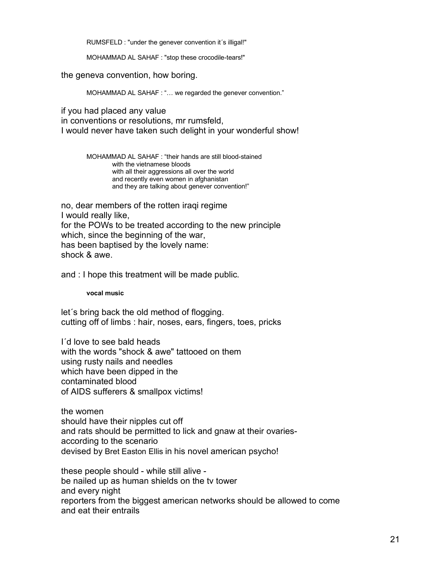RUMSFELD : "under the genever convention it´s illigal!"

MOHAMMAD AL SAHAF : "stop these crocodile-tears!"

the geneva convention, how boring.

MOHAMMAD AL SAHAF : "… we regarded the genever convention."

if you had placed any value

in conventions or resolutions, mr rumsfeld, I would never have taken such delight in your wonderful show!

> MOHAMMAD AL SAHAF : "their hands are still blood-stained with the vietnamese bloods with all their aggressions all over the world and recently even women in afghanistan and they are talking about genever convention!"

no, dear members of the rotten iraqi regime I would really like, for the POWs to be treated according to the new principle which, since the beginning of the war, has been baptised by the lovely name: shock & awe.

and : I hope this treatment will be made public.

**vocal music**

let´s bring back the old method of flogging. cutting off of limbs : hair, noses, ears, fingers, toes, pricks

I´d love to see bald heads with the words "shock & awe" tattooed on them using rusty nails and needles which have been dipped in the contaminated blood of AIDS sufferers & smallpox victims!

the women should have their nipples cut off and rats should be permitted to lick and gnaw at their ovariesaccording to the scenario devised by Bret Easton Ellis in his novel american psycho!

these people should - while still alive be nailed up as human shields on the tv tower and every night reporters from the biggest american networks should be allowed to come and eat their entrails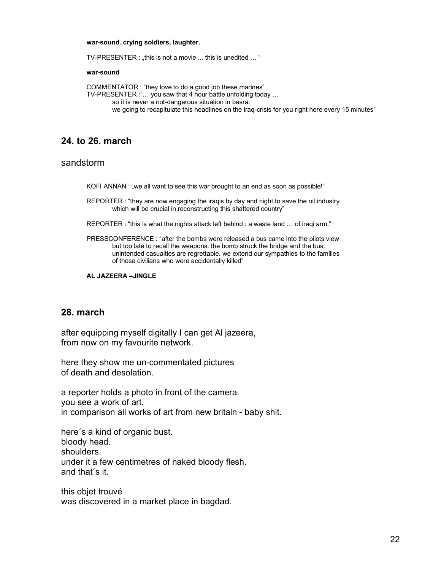#### **war-sound. crying soldiers, laughter.**

TV-PRESENTER : "this is not a movie ... this is unedited ... "

#### **war-sound**

COMMENTATOR : "they love to do a good job these marines" TV-PRESENTER :"… you saw that 4 hour battle unfolding today … so it is never a not-dangerous situation in basra. we going to recapitulate this headlines on the iraq-crisis for you right here every 15 minutes"

### **24. to 26. march**

### sandstorm

KOFI ANNAN : "we all want to see this war brought to an end as soon as possible!"

REPORTER : "they are now engaging the iraqis by day and night to save the oil industry which will be crucial in reconstructing this shattered country"

REPORTER : "this is what the nights attack left behind : a waste land … of iraqi arm."

PRESSCONFERENCE : "after the bombs were released a bus came into the pilots view but too late to recall the weapons. the bomb struck the bridge and the bus. unintended casualties are regrettable. we extend our sympathies to the families of those civilians who were accidentally killed"

**AL JAZEERA –JINGLE**

### **28. march**

after equipping myself digitally I can get Al jazeera, from now on my favourite network.

here they show me un-commentated pictures of death and desolation.

a reporter holds a photo in front of the camera. you see a work of art. in comparison all works of art from new britain - baby shit.

here´s a kind of organic bust. bloody head. shoulders. under it a few centimetres of naked bloody flesh. and that´s it.

this objet trouvé was discovered in a market place in bagdad.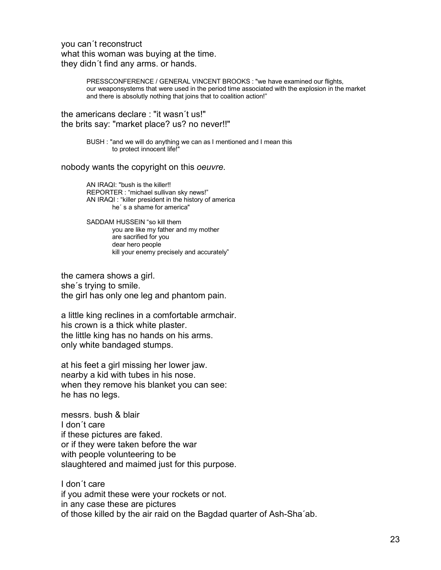you can´t reconstruct what this woman was buying at the time. they didn´t find any arms. or hands.

> PRESSCONFERENCE / GENERAL VINCENT BROOKS : "we have examined our flights, our weaponsystems that were used in the period time associated with the explosion in the market and there is absolutly nothing that joins that to coalition action!"

the americans declare : "it wasn´t us!" the brits say: "market place? us? no never!!"

> BUSH : "and we will do anything we can as I mentioned and I mean this to protect innocent life!"

nobody wants the copyright on this *oeuvre*.

AN IRAQI: "bush is the killer!! REPORTER : "michael sullivan sky news!" AN IRAQI : "killer president in the history of america he´ s a shame for america"

SADDAM HUSSEIN "so kill them you are like my father and my mother are sacrified for you dear hero people kill your enemy precisely and accurately"

the camera shows a girl. she´s trying to smile. the girl has only one leg and phantom pain.

a little king reclines in a comfortable armchair. his crown is a thick white plaster. the little king has no hands on his arms. only white bandaged stumps.

at his feet a girl missing her lower jaw. nearby a kid with tubes in his nose. when they remove his blanket you can see: he has no legs.

messrs. bush & blair I don´t care if these pictures are faked. or if they were taken before the war with people volunteering to be slaughtered and maimed just for this purpose.

I don´t care if you admit these were your rockets or not. in any case these are pictures of those killed by the air raid on the Bagdad quarter of Ash-Sha´ab.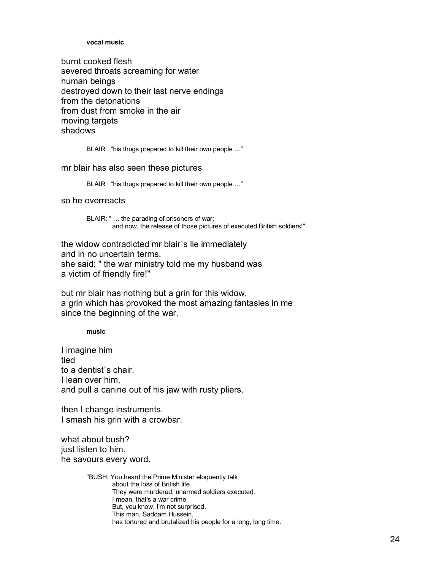#### **vocal music**

burnt cooked flesh severed throats screaming for water human beings destroyed down to their last nerve endings from the detonations from dust from smoke in the air moving targets shadows

BLAIR : "his thugs prepared to kill their own people …"

### mr blair has also seen these pictures

BLAIR : "his thugs prepared to kill their own people …"

so he overreacts

BLAIR: " … the parading of prisoners of war; and now, the release of those pictures of executed British soldiers!"

the widow contradicted mr blair´s lie immediately and in no uncertain terms. she said: " the war ministry told me my husband was a victim of friendly fire!"

but mr blair has nothing but a grin for this widow, a grin which has provoked the most amazing fantasies in me since the beginning of the war.

**music**

I imagine him tied to a dentist´s chair. I lean over him, and pull a canine out of his jaw with rusty pliers.

then I change instruments. I smash his grin with a crowbar.

what about bush? just listen to him. he savours every word.

> "BUSH: You heard the Prime Minister eloquently talk about the loss of British life. They were murdered, unarmed soldiers executed. I mean, that's a war crime. But, you know, I'm not surprised. This man, Saddam Hussein, has tortured and brutalized his people for a long, long time.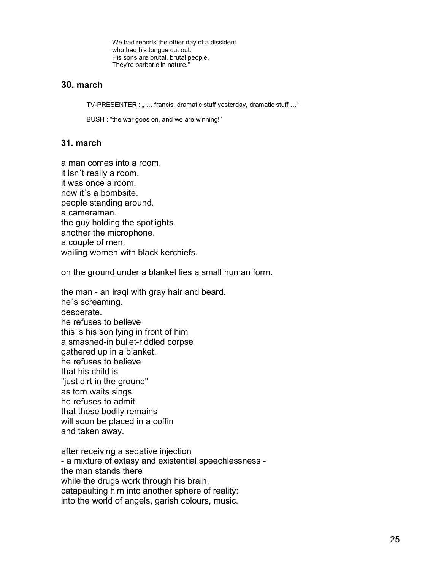We had reports the other day of a dissident who had his tongue cut out. His sons are brutal, brutal people. They're barbaric in nature."

# **30. march**

TV-PRESENTER : " ... francis: dramatic stuff yesterday, dramatic stuff ..."

BUSH : "the war goes on, and we are winning!"

# **31. march**

a man comes into a room. it isn´t really a room. it was once a room. now it´s a bombsite. people standing around. a cameraman. the guy holding the spotlights. another the microphone. a couple of men. wailing women with black kerchiefs.

on the ground under a blanket lies a small human form.

the man - an iraqi with gray hair and beard. he´s screaming. desperate. he refuses to believe this is his son lying in front of him a smashed-in bullet-riddled corpse gathered up in a blanket. he refuses to believe that his child is "just dirt in the ground" as tom waits sings. he refuses to admit that these bodily remains will soon be placed in a coffin and taken away.

after receiving a sedative injection - a mixture of extasy and existential speechlessness the man stands there while the drugs work through his brain, catapaulting him into another sphere of reality: into the world of angels, garish colours, music.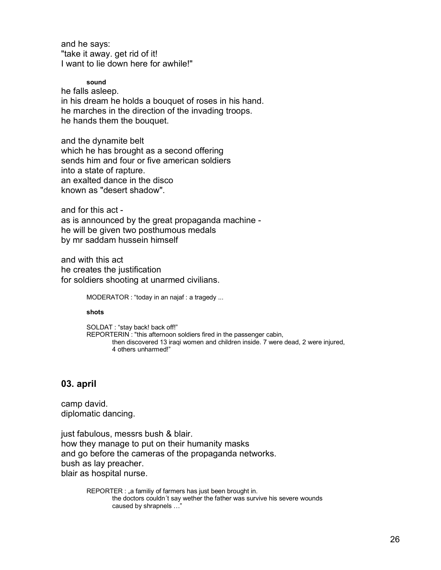and he says: "take it away. get rid of it! I want to lie down here for awhile!"

**sound**

he falls asleep. in his dream he holds a bouquet of roses in his hand. he marches in the direction of the invading troops. he hands them the bouquet.

and the dynamite belt which he has brought as a second offering sends him and four or five american soldiers into a state of rapture. an exalted dance in the disco known as "desert shadow".

and for this act -

as is announced by the great propaganda machine he will be given two posthumous medals by mr saddam hussein himself

and with this act he creates the justification for soldiers shooting at unarmed civilians.

MODERATOR : "today in an najaf : a tragedy ...

**shots**

SOLDAT : "stay back! back off!" REPORTERIN : "this afternoon soldiers fired in the passenger cabin, then discovered 13 iraqi women and children inside. 7 were dead, 2 were injured, 4 others unharmed!"

### **03. april**

camp david. diplomatic dancing.

just fabulous, messrs bush & blair. how they manage to put on their humanity masks and go before the cameras of the propaganda networks. bush as lay preacher. blair as hospital nurse.

> REPORTER : "a familiy of farmers has just been brought in. the doctors couldn´t say wether the father was survive his severe wounds caused by shrapnels …"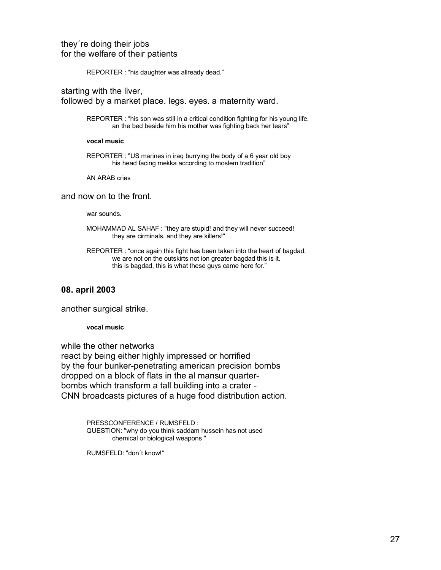REPORTER : "his daughter was allready dead."

starting with the liver, followed by a market place. legs. eyes. a maternity ward.

> REPORTER : "his son was still in a critical condition fighting for his young life. an the bed beside him his mother was fighting back her tears"

#### **vocal music**

REPORTER : "US marines in iraq burrying the body of a 6 year old boy his head facing mekka according to moslem tradition"

AN ARAB cries

### and now on to the front.

war sounds.

- MOHAMMAD AL SAHAF : "they are stupid! and they will never succeed! they are cirminals. and they are killers!"
- REPORTER : "once again this fight has been taken into the heart of bagdad. we are not on the outskirts not ion greater bagdad this is it. this is bagdad, this is what these guys came here for."

### **08. april 2003**

another surgical strike.

**vocal music**

while the other networks react by being either highly impressed or horrified by the four bunker-penetrating american precision bombs dropped on a block of flats in the al mansur quarterbombs which transform a tall building into a crater - CNN broadcasts pictures of a huge food distribution action.

> PRESSCONFERENCE / RUMSFELD : QUESTION: "why do you think saddam hussein has not used chemical or biological weapons "

RUMSFELD: "don´t know!"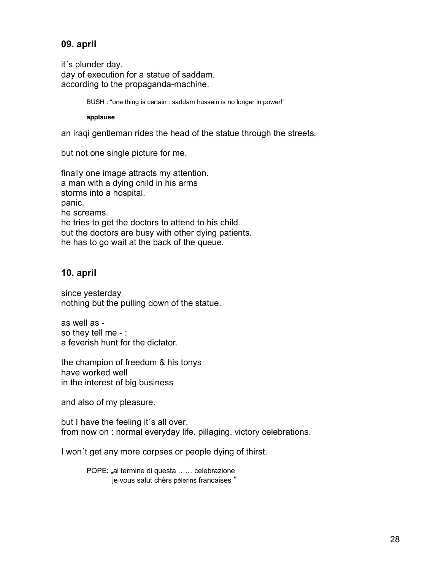# **09. april**

it´s plunder day. day of execution for a statue of saddam. according to the propaganda-machine.

BUSH : "one thing is certain : saddam hussein is no longer in power!"

**applause**

an iraqi gentleman rides the head of the statue through the streets.

but not one single picture for me.

finally one image attracts my attention. a man with a dying child in his arms storms into a hospital. panic. he screams. he tries to get the doctors to attend to his child. but the doctors are busy with other dying patients. he has to go wait at the back of the queue.

# **10. april**

since yesterday nothing but the pulling down of the statue.

as well as so they tell me - : a feverish hunt for the dictator.

the champion of freedom & his tonys have worked well in the interest of big business

and also of my pleasure.

but I have the feeling it´s all over. from now on : normal everyday life. pillaging. victory celebrations.

I won´t get any more corpses or people dying of thirst.

POPE: "al termine di questa ...... celebrazione je vous salut chèrs pèlerins francaises "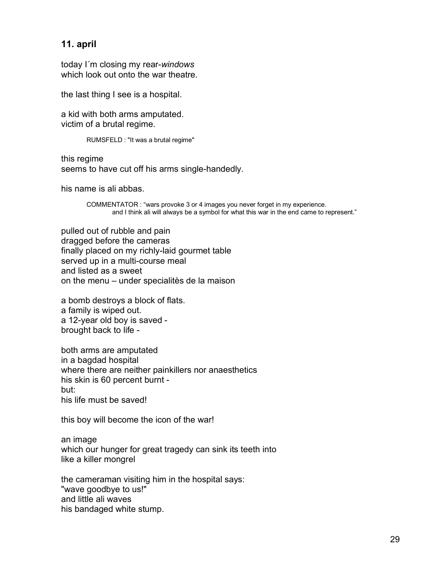# **11. april**

today I´m closing my rear-*windows* which look out onto the war theatre.

the last thing I see is a hospital.

a kid with both arms amputated. victim of a brutal regime.

RUMSFELD : "It was a brutal regime"

this regime seems to have cut off his arms single-handedly.

his name is ali abbas.

COMMENTATOR : "wars provoke 3 or 4 images you never forget in my experience. and I think ali will always be a symbol for what this war in the end came to represent."

pulled out of rubble and pain dragged before the cameras finally placed on my richly-laid gourmet table served up in a multi-course meal and listed as a sweet on the menu – under specialitès de la maison

a bomb destroys a block of flats. a family is wiped out. a 12-year old boy is saved brought back to life -

both arms are amputated in a bagdad hospital where there are neither painkillers nor anaesthetics his skin is 60 percent burnt but: his life must be saved!

this boy will become the icon of the war!

an image which our hunger for great tragedy can sink its teeth into like a killer mongrel

the cameraman visiting him in the hospital says: "wave goodbye to us!" and little ali waves his bandaged white stump.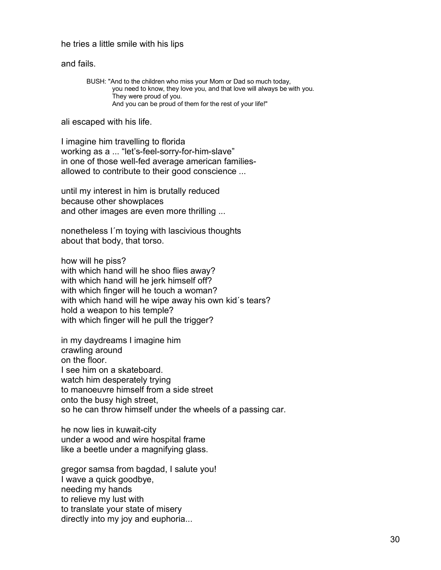### he tries a little smile with his lips

and fails.

BUSH: "And to the children who miss your Mom or Dad so much today, you need to know, they love you, and that love will always be with you. They were proud of you. And you can be proud of them for the rest of your life!"

ali escaped with his life.

I imagine him travelling to florida working as a ... "let's-feel-sorry-for-him-slave" in one of those well-fed average american familiesallowed to contribute to their good conscience ...

until my interest in him is brutally reduced because other showplaces and other images are even more thrilling ...

nonetheless I´m toying with lascivious thoughts about that body, that torso.

how will he piss? with which hand will he shoo flies away? with which hand will he jerk himself off? with which finger will he touch a woman? with which hand will he wipe away his own kid´s tears? hold a weapon to his temple? with which finger will he pull the trigger?

in my daydreams I imagine him crawling around on the floor. I see him on a skateboard. watch him desperately trying to manoeuvre himself from a side street onto the busy high street, so he can throw himself under the wheels of a passing car.

he now lies in kuwait-city under a wood and wire hospital frame like a beetle under a magnifying glass.

gregor samsa from bagdad, I salute you! I wave a quick goodbye, needing my hands to relieve my lust with to translate your state of misery directly into my joy and euphoria...